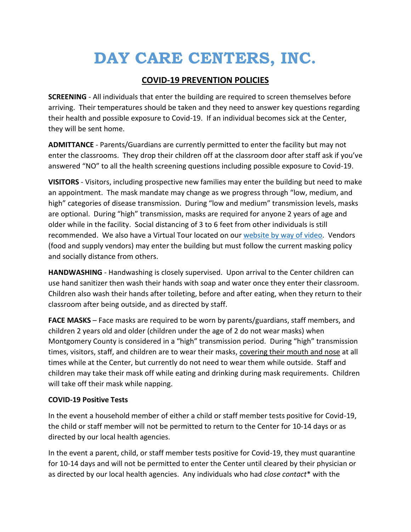# **DAY CARE CENTERS, INC.**

## **COVID-19 PREVENTION POLICIES**

**SCREENING** - All individuals that enter the building are required to screen themselves before arriving. Their temperatures should be taken and they need to answer key questions regarding their health and possible exposure to Covid-19. If an individual becomes sick at the Center, they will be sent home.

**ADMITTANCE** - Parents/Guardians are currently permitted to enter the facility but may not enter the classrooms. They drop their children off at the classroom door after staff ask if you've answered "NO" to all the health screening questions including possible exposure to Covid-19.

**VISITORS** - Visitors, including prospective new families may enter the building but need to make an appointment. The mask mandate may change as we progress through "low, medium, and high" categories of disease transmission. During "low and medium" transmission levels, masks are optional. During "high" transmission, masks are required for anyone 2 years of age and older while in the facility. Social distancing of 3 to 6 feet from other individuals is still recommended. We also have a Virtual Tour located on our website [by way of video.](https://daycarecentersinc.com/take-a-tour/) Vendors (food and supply vendors) may enter the building but must follow the current masking policy and socially distance from others.

**HANDWASHING** - Handwashing is closely supervised. Upon arrival to the Center children can use hand sanitizer then wash their hands with soap and water once they enter their classroom. Children also wash their hands after toileting, before and after eating, when they return to their classroom after being outside, and as directed by staff.

**FACE MASKS** – Face masks are required to be worn by parents/guardians, staff members, and children 2 years old and older (children under the age of 2 do not wear masks) when Montgomery County is considered in a "high" transmission period. During "high" transmission times, visitors, staff, and children are to wear their masks, covering their mouth and nose at all times while at the Center, but currently do not need to wear them while outside. Staff and children may take their mask off while eating and drinking during mask requirements. Children will take off their mask while napping.

### **COVID-19 Positive Tests**

In the event a household member of either a child or staff member tests positive for Covid-19, the child or staff member will not be permitted to return to the Center for 10-14 days or as directed by our local health agencies.

In the event a parent, child, or staff member tests positive for Covid-19, they must quarantine for 10-14 days and will not be permitted to enter the Center until cleared by their physician or as directed by our local health agencies. Any individuals who had *close contact*\* with the